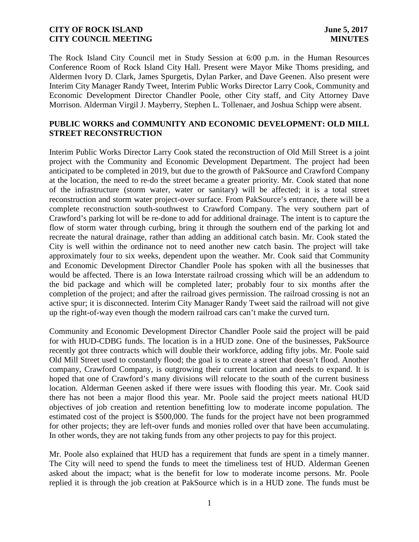The Rock Island City Council met in Study Session at 6:00 p.m. in the Human Resources Conference Room of Rock Island City Hall. Present were Mayor Mike Thoms presiding, and Aldermen Ivory D. Clark, James Spurgetis, Dylan Parker, and Dave Geenen. Also present were Interim City Manager Randy Tweet, Interim Public Works Director Larry Cook, Community and Economic Development Director Chandler Poole, other City staff, and City Attorney Dave Morrison. Alderman Virgil J. Mayberry, Stephen L. Tollenaer, and Joshua Schipp were absent.

## **PUBLIC WORKS and COMMUNITY AND ECONOMIC DEVELOPMENT: OLD MILL STREET RECONSTRUCTION**

Interim Public Works Director Larry Cook stated the reconstruction of Old Mill Street is a joint project with the Community and Economic Development Department. The project had been anticipated to be completed in 2019, but due to the growth of PakSource and Crawford Company at the location, the need to re-do the street became a greater priority. Mr. Cook stated that none of the infrastructure (storm water, water or sanitary) will be affected; it is a total street reconstruction and storm water project-over surface. From PakSource's entrance, there will be a complete reconstruction south-southwest to Crawford Company. The very southern part of Crawford's parking lot will be re-done to add for additional drainage. The intent is to capture the flow of storm water through curbing, bring it through the southern end of the parking lot and recreate the natural drainage, rather than adding an additional catch basin. Mr. Cook stated the City is well within the ordinance not to need another new catch basin. The project will take approximately four to six weeks, dependent upon the weather. Mr. Cook said that Community and Economic Development Director Chandler Poole has spoken with all the businesses that would be affected. There is an Iowa Interstate railroad crossing which will be an addendum to the bid package and which will be completed later; probably four to six months after the completion of the project; and after the railroad gives permission. The railroad crossing is not an active spur; it is disconnected. Interim City Manager Randy Tweet said the railroad will not give up the right-of-way even though the modern railroad cars can't make the curved turn.

Community and Economic Development Director Chandler Poole said the project will be paid for with HUD-CDBG funds. The location is in a HUD zone. One of the businesses, PakSource recently got three contracts which will double their workforce, adding fifty jobs. Mr. Poole said Old Mill Street used to constantly flood; the goal is to create a street that doesn't flood. Another company, Crawford Company, is outgrowing their current location and needs to expand. It is hoped that one of Crawford's many divisions will relocate to the south of the current business location. Alderman Geenen asked if there were issues with flooding this year. Mr. Cook said there has not been a major flood this year. Mr. Poole said the project meets national HUD objectives of job creation and retention benefitting low to moderate income population. The estimated cost of the project is \$500,000. The funds for the project have not been programmed for other projects; they are left-over funds and monies rolled over that have been accumulating. In other words, they are not taking funds from any other projects to pay for this project.

Mr. Poole also explained that HUD has a requirement that funds are spent in a timely manner. The City will need to spend the funds to meet the timeliness test of HUD. Alderman Geenen asked about the impact; what is the benefit for low to moderate income persons. Mr. Poole replied it is through the job creation at PakSource which is in a HUD zone. The funds must be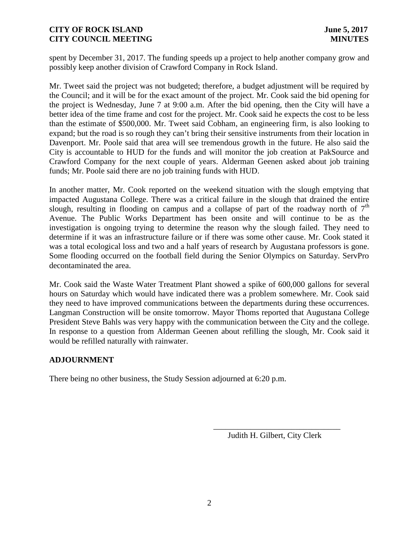spent by December 31, 2017. The funding speeds up a project to help another company grow and possibly keep another division of Crawford Company in Rock Island.

Mr. Tweet said the project was not budgeted; therefore, a budget adjustment will be required by the Council; and it will be for the exact amount of the project. Mr. Cook said the bid opening for the project is Wednesday, June 7 at 9:00 a.m. After the bid opening, then the City will have a better idea of the time frame and cost for the project. Mr. Cook said he expects the cost to be less than the estimate of \$500,000. Mr. Tweet said Cobham, an engineering firm, is also looking to expand; but the road is so rough they can't bring their sensitive instruments from their location in Davenport. Mr. Poole said that area will see tremendous growth in the future. He also said the City is accountable to HUD for the funds and will monitor the job creation at PakSource and Crawford Company for the next couple of years. Alderman Geenen asked about job training funds; Mr. Poole said there are no job training funds with HUD.

In another matter, Mr. Cook reported on the weekend situation with the slough emptying that impacted Augustana College. There was a critical failure in the slough that drained the entire slough, resulting in flooding on campus and a collapse of part of the roadway north of  $7<sup>th</sup>$ Avenue. The Public Works Department has been onsite and will continue to be as the investigation is ongoing trying to determine the reason why the slough failed. They need to determine if it was an infrastructure failure or if there was some other cause. Mr. Cook stated it was a total ecological loss and two and a half years of research by Augustana professors is gone. Some flooding occurred on the football field during the Senior Olympics on Saturday. ServPro decontaminated the area.

Mr. Cook said the Waste Water Treatment Plant showed a spike of 600,000 gallons for several hours on Saturday which would have indicated there was a problem somewhere. Mr. Cook said they need to have improved communications between the departments during these occurrences. Langman Construction will be onsite tomorrow. Mayor Thoms reported that Augustana College President Steve Bahls was very happy with the communication between the City and the college. In response to a question from Alderman Geenen about refilling the slough, Mr. Cook said it would be refilled naturally with rainwater.

# **ADJOURNMENT**

There being no other business, the Study Session adjourned at 6:20 p.m.

Judith H. Gilbert, City Clerk

\_\_\_\_\_\_\_\_\_\_\_\_\_\_\_\_\_\_\_\_\_\_\_\_\_\_\_\_\_\_\_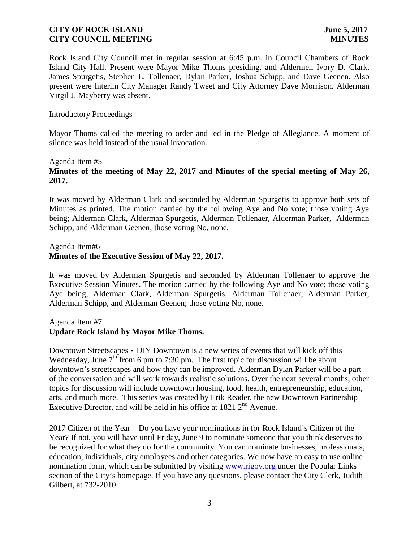Rock Island City Council met in regular session at 6:45 p.m. in Council Chambers of Rock Island City Hall. Present were Mayor Mike Thoms presiding, and Aldermen Ivory D. Clark, James Spurgetis, Stephen L. Tollenaer, Dylan Parker, Joshua Schipp, and Dave Geenen. Also present were Interim City Manager Randy Tweet and City Attorney Dave Morrison. Alderman Virgil J. Mayberry was absent.

#### Introductory Proceedings

Mayor Thoms called the meeting to order and led in the Pledge of Allegiance. A moment of silence was held instead of the usual invocation.

#### Agenda Item #5

# **Minutes of the meeting of May 22, 2017 and Minutes of the special meeting of May 26, 2017.**

It was moved by Alderman Clark and seconded by Alderman Spurgetis to approve both sets of Minutes as printed. The motion carried by the following Aye and No vote; those voting Aye being; Alderman Clark, Alderman Spurgetis, Alderman Tollenaer, Alderman Parker, Alderman Schipp, and Alderman Geenen; those voting No, none.

### Agenda Item#6 **Minutes of the Executive Session of May 22, 2017.**

It was moved by Alderman Spurgetis and seconded by Alderman Tollenaer to approve the Executive Session Minutes. The motion carried by the following Aye and No vote; those voting Aye being; Alderman Clark, Alderman Spurgetis, Alderman Tollenaer, Alderman Parker, Alderman Schipp, and Alderman Geenen; those voting No, none.

### Agenda Item #7

# **Update Rock Island by Mayor Mike Thoms.**

Downtown Streetscapes **–** DIY Downtown is a new series of events that will kick off this Wednesday, June 7<sup>th</sup> from 6 pm to 7:30 pm. The first topic for discussion will be about downtown's streetscapes and how they can be improved. Alderman Dylan Parker will be a part of the conversation and will work towards realistic solutions. Over the next several months, other topics for discussion will include downtown housing, food, health, entrepreneurship, education, arts, and much more. This series was created by Erik Reader, the new Downtown Partnership Executive Director, and will be held in his office at 1821  $2<sup>nd</sup>$  Avenue.

2017 Citizen of the Year – Do you have your nominations in for Rock Island's Citizen of the Year? If not, you will have until Friday, June 9 to nominate someone that you think deserves to be recognized for what they do for the community. You can nominate businesses, professionals, education, individuals, city employees and other categories. We now have an easy to use online nomination form, which can be submitted by visiting www.rigov.org under the Popular Links section of the City's homepage. If you have any questions, please contact the City Clerk, Judith Gilbert, at 732-2010.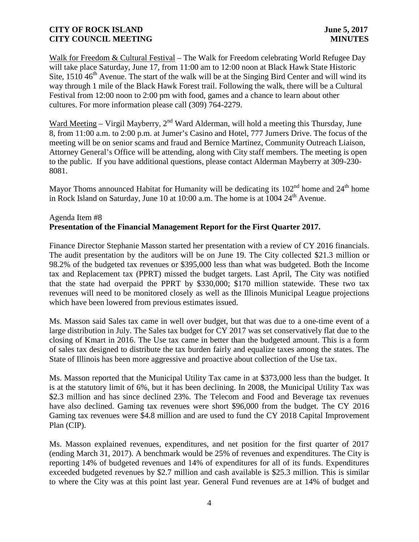Walk for Freedom & Cultural Festival – The Walk for Freedom celebrating World Refugee Day will take place Saturday, June 17, from 11:00 am to 12:00 noon at Black Hawk State Historic Site,  $1510 46<sup>th</sup>$  Avenue. The start of the walk will be at the Singing Bird Center and will wind its way through 1 mile of the Black Hawk Forest trail. Following the walk, there will be a Cultural Festival from 12:00 noon to 2:00 pm with food, games and a chance to learn about other cultures. For more information please call (309) 764-2279.

Ward Meeting – Virgil Mayberry,  $2<sup>nd</sup>$  Ward Alderman, will hold a meeting this Thursday, June 8, from 11:00 a.m. to 2:00 p.m. at Jumer's Casino and Hotel, 777 Jumers Drive. The focus of the meeting will be on senior scams and fraud and Bernice Martinez, Community Outreach Liaison, Attorney General's Office will be attending, along with City staff members. The meeting is open to the public. If you have additional questions, please contact Alderman Mayberry at 309-230- 8081.

Mayor Thoms announced Habitat for Humanity will be dedicating its  $102<sup>nd</sup>$  home and  $24<sup>th</sup>$  home in Rock Island on Saturday, June 10 at  $10:00$  a.m. The home is at  $1004 \ 24<sup>th</sup>$  Avenue.

# Agenda Item #8 **Presentation of the Financial Management Report for the First Quarter 2017.**

Finance Director Stephanie Masson started her presentation with a review of CY 2016 financials. The audit presentation by the auditors will be on June 19. The City collected \$21.3 million or 98.2% of the budgeted tax revenues or \$395,000 less than what was budgeted. Both the Income tax and Replacement tax (PPRT) missed the budget targets. Last April, The City was notified that the state had overpaid the PPRT by \$330,000; \$170 million statewide. These two tax revenues will need to be monitored closely as well as the Illinois Municipal League projections which have been lowered from previous estimates issued.

Ms. Masson said Sales tax came in well over budget, but that was due to a one-time event of a large distribution in July. The Sales tax budget for CY 2017 was set conservatively flat due to the closing of Kmart in 2016. The Use tax came in better than the budgeted amount. This is a form of sales tax designed to distribute the tax burden fairly and equalize taxes among the states. The State of Illinois has been more aggressive and proactive about collection of the Use tax.

Ms. Masson reported that the Municipal Utility Tax came in at \$373,000 less than the budget. It is at the statutory limit of 6%, but it has been declining. In 2008, the Municipal Utility Tax was \$2.3 million and has since declined 23%. The Telecom and Food and Beverage tax revenues have also declined. Gaming tax revenues were short \$96,000 from the budget. The CY 2016 Gaming tax revenues were \$4.8 million and are used to fund the CY 2018 Capital Improvement Plan (CIP).

Ms. Masson explained revenues, expenditures, and net position for the first quarter of 2017 (ending March 31, 2017). A benchmark would be 25% of revenues and expenditures. The City is reporting 14% of budgeted revenues and 14% of expenditures for all of its funds. Expenditures exceeded budgeted revenues by \$2.7 million and cash available is \$25.3 million. This is similar to where the City was at this point last year. General Fund revenues are at 14% of budget and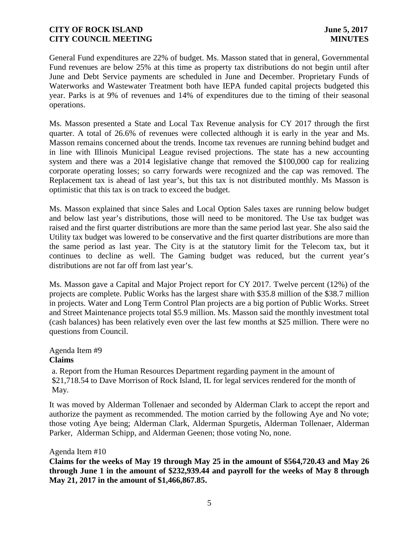General Fund expenditures are 22% of budget. Ms. Masson stated that in general, Governmental Fund revenues are below 25% at this time as property tax distributions do not begin until after June and Debt Service payments are scheduled in June and December. Proprietary Funds of Waterworks and Wastewater Treatment both have IEPA funded capital projects budgeted this year. Parks is at 9% of revenues and 14% of expenditures due to the timing of their seasonal operations.

Ms. Masson presented a State and Local Tax Revenue analysis for CY 2017 through the first quarter. A total of 26.6% of revenues were collected although it is early in the year and Ms. Masson remains concerned about the trends. Income tax revenues are running behind budget and in line with Illinois Municipal League revised projections. The state has a new accounting system and there was a 2014 legislative change that removed the \$100,000 cap for realizing corporate operating losses; so carry forwards were recognized and the cap was removed. The Replacement tax is ahead of last year's, but this tax is not distributed monthly. Ms Masson is optimistic that this tax is on track to exceed the budget.

Ms. Masson explained that since Sales and Local Option Sales taxes are running below budget and below last year's distributions, those will need to be monitored. The Use tax budget was raised and the first quarter distributions are more than the same period last year. She also said the Utility tax budget was lowered to be conservative and the first quarter distributions are more than the same period as last year. The City is at the statutory limit for the Telecom tax, but it continues to decline as well. The Gaming budget was reduced, but the current year's distributions are not far off from last year's.

Ms. Masson gave a Capital and Major Project report for CY 2017. Twelve percent (12%) of the projects are complete. Public Works has the largest share with \$35.8 million of the \$38.7 million in projects. Water and Long Term Control Plan projects are a big portion of Public Works. Street and Street Maintenance projects total \$5.9 million. Ms. Masson said the monthly investment total (cash balances) has been relatively even over the last few months at \$25 million. There were no questions from Council.

#### Agenda Item #9 **Claims**

a. Report from the Human Resources Department regarding payment in the amount of \$21,718.54 to Dave Morrison of Rock Island, IL for legal services rendered for the month of May.

It was moved by Alderman Tollenaer and seconded by Alderman Clark to accept the report and authorize the payment as recommended. The motion carried by the following Aye and No vote; those voting Aye being; Alderman Clark, Alderman Spurgetis, Alderman Tollenaer, Alderman Parker, Alderman Schipp, and Alderman Geenen; those voting No, none.

### Agenda Item #10

**Claims for the weeks of May 19 through May 25 in the amount of \$564,720.43 and May 26 through June 1 in the amount of \$232,939.44 and payroll for the weeks of May 8 through May 21, 2017 in the amount of \$1,466,867.85.**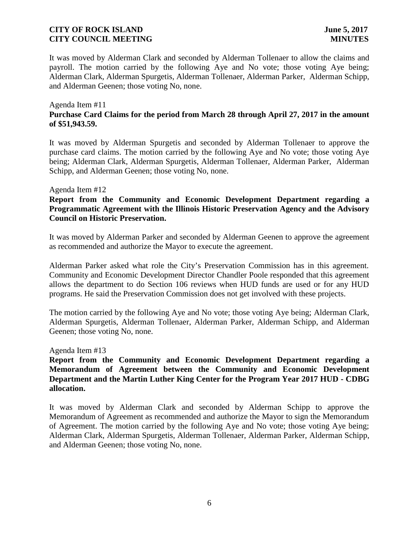It was moved by Alderman Clark and seconded by Alderman Tollenaer to allow the claims and payroll. The motion carried by the following Aye and No vote; those voting Aye being; Alderman Clark, Alderman Spurgetis, Alderman Tollenaer, Alderman Parker, Alderman Schipp, and Alderman Geenen; those voting No, none.

### Agenda Item #11 **Purchase Card Claims for the period from March 28 through April 27, 2017 in the amount of \$51,943.59.**

It was moved by Alderman Spurgetis and seconded by Alderman Tollenaer to approve the purchase card claims. The motion carried by the following Aye and No vote; those voting Aye being; Alderman Clark, Alderman Spurgetis, Alderman Tollenaer, Alderman Parker, Alderman Schipp, and Alderman Geenen; those voting No, none.

#### Agenda Item #12

## **Report from the Community and Economic Development Department regarding a Programmatic Agreement with the Illinois Historic Preservation Agency and the Advisory Council on Historic Preservation.**

It was moved by Alderman Parker and seconded by Alderman Geenen to approve the agreement as recommended and authorize the Mayor to execute the agreement.

Alderman Parker asked what role the City's Preservation Commission has in this agreement. Community and Economic Development Director Chandler Poole responded that this agreement allows the department to do Section 106 reviews when HUD funds are used or for any HUD programs. He said the Preservation Commission does not get involved with these projects.

The motion carried by the following Aye and No vote; those voting Aye being; Alderman Clark, Alderman Spurgetis, Alderman Tollenaer, Alderman Parker, Alderman Schipp, and Alderman Geenen; those voting No, none.

Agenda Item #13

## **Report from the Community and Economic Development Department regarding a Memorandum of Agreement between the Community and Economic Development Department and the Martin Luther King Center for the Program Year 2017 HUD - CDBG allocation.**

It was moved by Alderman Clark and seconded by Alderman Schipp to approve the Memorandum of Agreement as recommended and authorize the Mayor to sign the Memorandum of Agreement. The motion carried by the following Aye and No vote; those voting Aye being; Alderman Clark, Alderman Spurgetis, Alderman Tollenaer, Alderman Parker, Alderman Schipp, and Alderman Geenen; those voting No, none.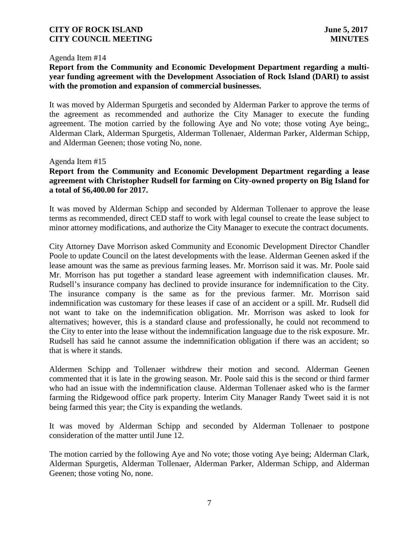#### Agenda Item #14

## **Report from the Community and Economic Development Department regarding a multi year funding agreement with the Development Association of Rock Island (DARI) to assist with the promotion and expansion of commercial businesses.**

It was moved by Alderman Spurgetis and seconded by Alderman Parker to approve the terms of the agreement as recommended and authorize the City Manager to execute the funding agreement. The motion carried by the following Aye and No vote; those voting Aye being;, Alderman Clark, Alderman Spurgetis, Alderman Tollenaer, Alderman Parker, Alderman Schipp, and Alderman Geenen; those voting No, none.

#### Agenda Item #15

## **Report from the Community and Economic Development Department regarding a lease agreement with Christopher Rudsell for farming on City-owned property on Big Island for a total of \$6,400.00 for 2017.**

It was moved by Alderman Schipp and seconded by Alderman Tollenaer to approve the lease terms as recommended, direct CED staff to work with legal counsel to create the lease subject to minor attorney modifications, and authorize the City Manager to execute the contract documents.

City Attorney Dave Morrison asked Community and Economic Development Director Chandler Poole to update Council on the latest developments with the lease. Alderman Geenen asked if the lease amount was the same as previous farming leases. Mr. Morrison said it was. Mr. Poole said Mr. Morrison has put together a standard lease agreement with indemnification clauses. Mr. Rudsell's insurance company has declined to provide insurance for indemnification to the City. The insurance company is the same as for the previous farmer. Mr. Morrison said indemnification was customary for these leases if case of an accident or a spill. Mr. Rudsell did not want to take on the indemnification obligation. Mr. Morrison was asked to look for alternatives; however, this is a standard clause and professionally, he could not recommend to the City to enter into the lease without the indemnification language due to the risk exposure. Mr. Rudsell has said he cannot assume the indemnification obligation if there was an accident; so that is where it stands.

Aldermen Schipp and Tollenaer withdrew their motion and second. Alderman Geenen commented that it is late in the growing season. Mr. Poole said this is the second or third farmer who had an issue with the indemnification clause. Alderman Tollenaer asked who is the farmer farming the Ridgewood office park property. Interim City Manager Randy Tweet said it is not being farmed this year; the City is expanding the wetlands.

It was moved by Alderman Schipp and seconded by Alderman Tollenaer to postpone consideration of the matter until June 12.

The motion carried by the following Aye and No vote; those voting Aye being; Alderman Clark, Alderman Spurgetis, Alderman Tollenaer, Alderman Parker, Alderman Schipp, and Alderman Geenen; those voting No, none.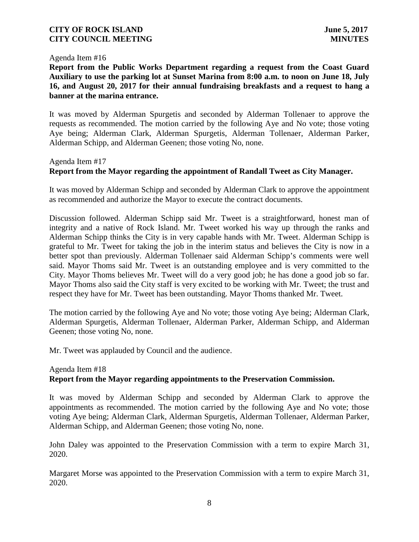#### Agenda Item #16

**Report from the Public Works Department regarding a request from the Coast Guard Auxiliary to use the parking lot at Sunset Marina from 8:00 a.m. to noon on June 18, July 16, and August 20, 2017 for their annual fundraising breakfasts and a request to hang a banner at the marina entrance.**

It was moved by Alderman Spurgetis and seconded by Alderman Tollenaer to approve the requests as recommended. The motion carried by the following Aye and No vote; those voting Aye being; Alderman Clark, Alderman Spurgetis, Alderman Tollenaer, Alderman Parker, Alderman Schipp, and Alderman Geenen; those voting No, none.

### Agenda Item #17

# **Report from the Mayor regarding the appointment of Randall Tweet as City Manager.**

It was moved by Alderman Schipp and seconded by Alderman Clark to approve the appointment as recommended and authorize the Mayor to execute the contract documents.

Discussion followed. Alderman Schipp said Mr. Tweet is a straightforward, honest man of integrity and a native of Rock Island. Mr. Tweet worked his way up through the ranks and Alderman Schipp thinks the City is in very capable hands with Mr. Tweet. Alderman Schipp is grateful to Mr. Tweet for taking the job in the interim status and believes the City is now in a better spot than previously. Alderman Tollenaer said Alderman Schipp's comments were well said. Mayor Thoms said Mr. Tweet is an outstanding employee and is very committed to the City. Mayor Thoms believes Mr. Tweet will do a very good job; he has done a good job so far. Mayor Thoms also said the City staff is very excited to be working with Mr. Tweet; the trust and respect they have for Mr. Tweet has been outstanding. Mayor Thoms thanked Mr. Tweet.

The motion carried by the following Aye and No vote; those voting Aye being; Alderman Clark, Alderman Spurgetis, Alderman Tollenaer, Alderman Parker, Alderman Schipp, and Alderman Geenen; those voting No, none.

Mr. Tweet was applauded by Council and the audience.

## Agenda Item #18 **Report from the Mayor regarding appointments to the Preservation Commission.**

It was moved by Alderman Schipp and seconded by Alderman Clark to approve the appointments as recommended. The motion carried by the following Aye and No vote; those voting Aye being; Alderman Clark, Alderman Spurgetis, Alderman Tollenaer, Alderman Parker, Alderman Schipp, and Alderman Geenen; those voting No, none.

John Daley was appointed to the Preservation Commission with a term to expire March 31, 2020.

Margaret Morse was appointed to the Preservation Commission with a term to expire March 31, 2020.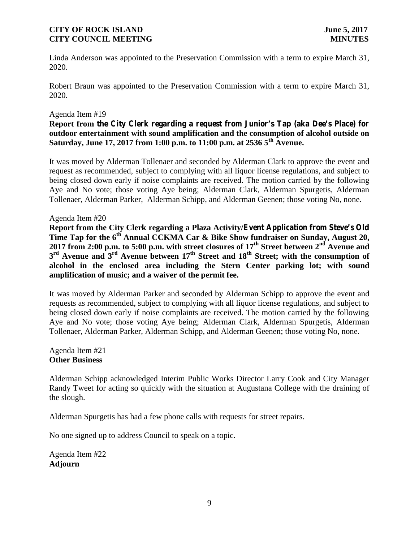Linda Anderson was appointed to the Preservation Commission with a term to expire March 31, 2020.

Robert Braun was appointed to the Preservation Commission with a term to expire March 31, 2020.

#### Agenda Item #19

## **Report from the City Clerk regarding a request from Junior's Tap (aka Dee's Place) for outdoor entertainment with sound amplification and the consumption of alcohol outside on Saturday, June 17, 2017 from 1:00 p.m. to 11:00 p.m. at 2536 5th Avenue.**

It was moved by Alderman Tollenaer and seconded by Alderman Clark to approve the event and request as recommended, subject to complying with all liquor license regulations, and subject to being closed down early if noise complaints are received. The motion carried by the following Aye and No vote; those voting Aye being; Alderman Clark, Alderman Spurgetis, Alderman Tollenaer, Alderman Parker, Alderman Schipp, and Alderman Geenen; those voting No, none.

#### Agenda Item #20

**Report from the City Clerk regarding a Plaza Activity/Event Application from Steve's Old Time Tap for the 6th Annual CCKMA Car & Bike Show fundraiser on Sunday, August 20, 2017 from 2:00 p.m. to 5:00 p.m. with street closures of 17th Street between 2nd Avenue and 3 rd Avenue and 3rd Avenue between 17th Street and 18th Street; with the consumption of alcohol in the enclosed area including the Stern Center parking lot; with sound amplification of music; and a waiver of the permit fee.**

It was moved by Alderman Parker and seconded by Alderman Schipp to approve the event and requests as recommended, subject to complying with all liquor license regulations, and subject to being closed down early if noise complaints are received. The motion carried by the following Aye and No vote; those voting Aye being; Alderman Clark, Alderman Spurgetis, Alderman Tollenaer, Alderman Parker, Alderman Schipp, and Alderman Geenen; those voting No, none.

Agenda Item #21 **Other Business**

Alderman Schipp acknowledged Interim Public Works Director Larry Cook and City Manager Randy Tweet for acting so quickly with the situation at Augustana College with the draining of the slough.

Alderman Spurgetis has had a few phone calls with requests for street repairs.

No one signed up to address Council to speak on a topic.

Agenda Item #22 **Adjourn**